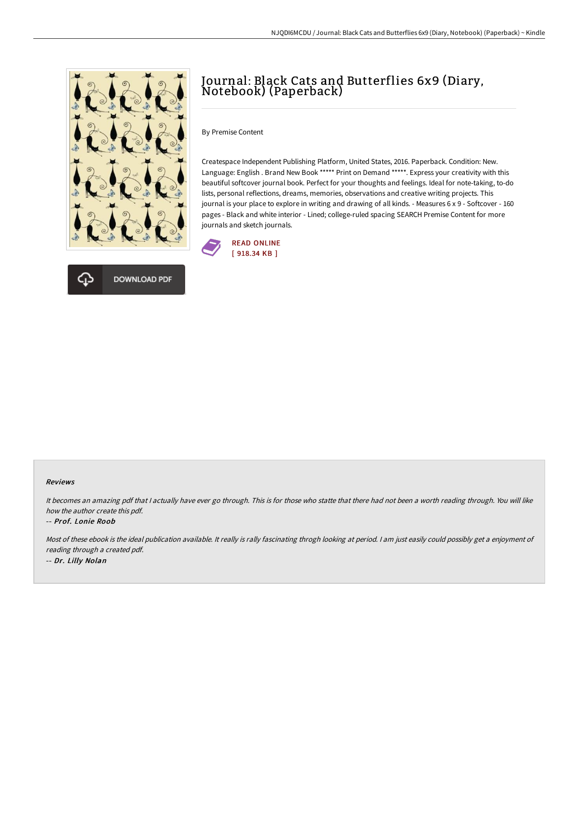



## Journal: Black Cats and Butterflies 6x9 (Diary, Notebook) (Paperback)

By Premise Content

Createspace Independent Publishing Platform, United States, 2016. Paperback. Condition: New. Language: English . Brand New Book \*\*\*\*\* Print on Demand \*\*\*\*\*. Express your creativity with this beautiful softcover journal book. Perfect for your thoughts and feelings. Ideal for note-taking, to-do lists, personal reflections, dreams, memories, observations and creative writing projects. This journal is your place to explore in writing and drawing of all kinds. - Measures 6 x 9 - Softcover - 160 pages - Black and white interior - Lined; college-ruled spacing SEARCH Premise Content for more journals and sketch journals.



## Reviews

It becomes an amazing pdf that <sup>I</sup> actually have ever go through. This is for those who statte that there had not been <sup>a</sup> worth reading through. You will like how the author create this pdf.

## -- Prof. Lonie Roob

Most of these ebook is the ideal publication available. It really is rally fascinating throgh looking at period. <sup>I</sup> am just easily could possibly get <sup>a</sup> enjoyment of reading through <sup>a</sup> created pdf. -- Dr. Lilly Nolan